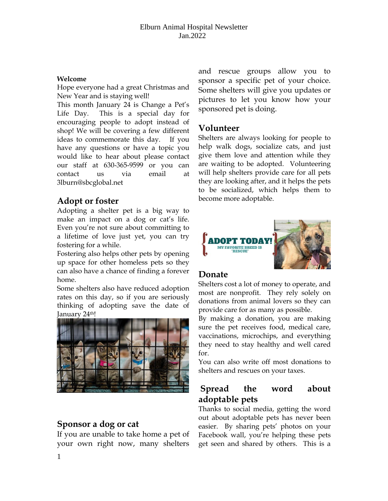#### **Welcome**

Hope everyone had a great Christmas and New Year and is staying well!

This month January 24 is Change a Pet's Life Day. This is a special day for encouraging people to adopt instead of shop! We will be covering a few different ideas to commemorate this day. If you have any questions or have a topic you would like to hear about please contact our staff at 630-365-9599 or you can contact us via email at 3lburn@sbcglobal.net

# **Adopt or foster**

Adopting a shelter pet is a big way to make an impact on a dog or cat's life. Even you're not sure about committing to a lifetime of love just yet, you can try fostering for a while.

Fostering also helps other pets by opening up space for other homeless pets so they can also have a chance of finding a forever home.

Some shelters also have reduced adoption rates on this day, so if you are seriously thinking of adopting save the date of January 24<sup>th!</sup>



## **Sponsor a dog or cat**

If you are unable to take home a pet of your own right now, many shelters and rescue groups allow you to sponsor a specific pet of your choice. Some shelters will give you updates or pictures to let you know how your sponsored pet is doing.

#### **Volunteer**

Shelters are always looking for people to help walk dogs, socialize cats, and just give them love and attention while they are waiting to be adopted. Volunteering will help shelters provide care for all pets they are looking after, and it helps the pets to be socialized, which helps them to become more adoptable.



## **Donate**

Shelters cost a lot of money to operate, and most are nonprofit. They rely solely on donations from animal lovers so they can provide care for as many as possible.

By making a donation, you are making sure the pet receives food, medical care, vaccinations, microchips, and everything they need to stay healthy and well cared for.

You can also write off most donations to shelters and rescues on your taxes.

# **Spread the word about adoptable pets**

Thanks to social media, getting the word out about adoptable pets has never been easier. By sharing pets' photos on your Facebook wall, you're helping these pets get seen and shared by others. This is a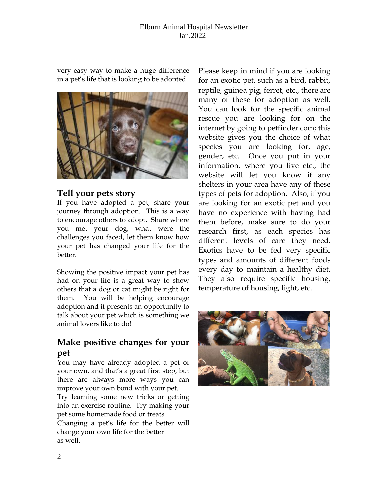#### Elburn Animal Hospital Newsletter Jan.2022

very easy way to make a huge difference in a pet's life that is looking to be adopted.



#### **Tell your pets story**

If you have adopted a pet, share your journey through adoption. This is a way to encourage others to adopt. Share where you met your dog, what were the challenges you faced, let them know how your pet has changed your life for the better.

Showing the positive impact your pet has had on your life is a great way to show others that a dog or cat might be right for them. You will be helping encourage adoption and it presents an opportunity to talk about your pet which is something we animal lovers like to do!

# **Make positive changes for your pet**

You may have already adopted a pet of your own, and that's a great first step, but there are always more ways you can improve your own bond with your pet.

Try learning some new tricks or getting into an exercise routine. Try making your pet some homemade food or treats.

Changing a pet's life for the better will change your own life for the better as well.

Please keep in mind if you are looking for an exotic pet, such as a bird, rabbit, reptile, guinea pig, ferret, etc., there are many of these for adoption as well. You can look for the specific animal rescue you are looking for on the internet by going to petfinder.com; this website gives you the choice of what species you are looking for, age, gender, etc. Once you put in your information, where you live etc., the website will let you know if any shelters in your area have any of these types of pets for adoption. Also, if you are looking for an exotic pet and you have no experience with having had them before, make sure to do your research first, as each species has different levels of care they need. Exotics have to be fed very specific types and amounts of different foods every day to maintain a healthy diet. They also require specific housing, temperature of housing, light, etc.